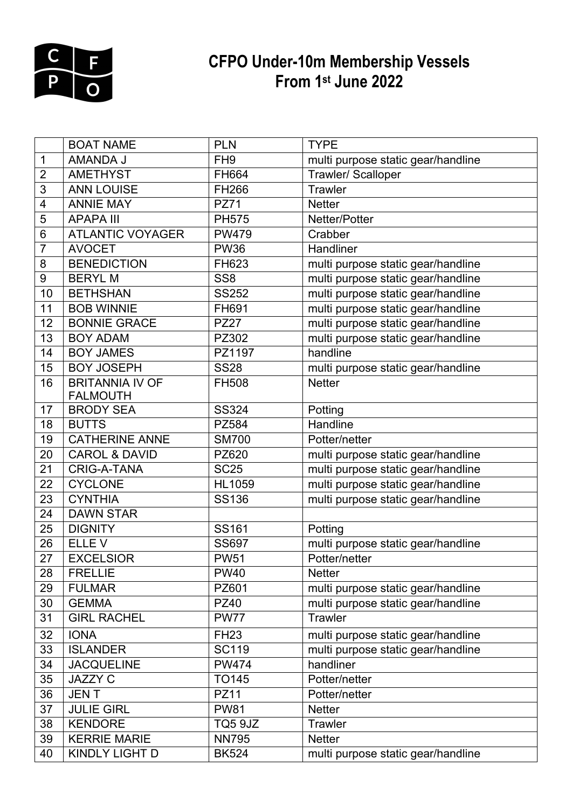

## **CFPO Under-10m Membership Vessels From 1st June 2022**

|                  | <b>BOAT NAME</b>         | <b>PLN</b>      | <b>TYPE</b>                        |
|------------------|--------------------------|-----------------|------------------------------------|
| $\mathbf 1$      | AMANDA J                 | FH <sub>9</sub> | multi purpose static gear/handline |
| $\overline{2}$   | <b>AMETHYST</b>          | FH664           | Trawler/ Scalloper                 |
| 3                | <b>ANN LOUISE</b>        | <b>FH266</b>    | <b>Trawler</b>                     |
| 4                | <b>ANNIE MAY</b>         | <b>PZ71</b>     | <b>Netter</b>                      |
| 5                | <b>APAPA III</b>         | <b>PH575</b>    | Netter/Potter                      |
| 6                | <b>ATLANTIC VOYAGER</b>  | <b>PW479</b>    | Crabber                            |
| $\overline{7}$   | <b>AVOCET</b>            | <b>PW36</b>     | Handliner                          |
| 8                | <b>BENEDICTION</b>       | FH623           | multi purpose static gear/handline |
| $\boldsymbol{9}$ | <b>BERYLM</b>            | SS <sub>8</sub> | multi purpose static gear/handline |
| 10               | <b>BETHSHAN</b>          | <b>SS252</b>    | multi purpose static gear/handline |
| 11               | <b>BOB WINNIE</b>        | FH691           | multi purpose static gear/handline |
| 12               | <b>BONNIE GRACE</b>      | <b>PZ27</b>     | multi purpose static gear/handline |
| 13               | <b>BOY ADAM</b>          | PZ302           | multi purpose static gear/handline |
| 14               | <b>BOY JAMES</b>         | PZ1197          | handline                           |
| 15               | <b>BOY JOSEPH</b>        | <b>SS28</b>     | multi purpose static gear/handline |
| 16               | <b>BRITANNIA IV OF</b>   | <b>FH508</b>    | <b>Netter</b>                      |
|                  | <b>FALMOUTH</b>          |                 |                                    |
| 17               | <b>BRODY SEA</b>         | <b>SS324</b>    | Potting                            |
| 18               | <b>BUTTS</b>             | <b>PZ584</b>    | Handline                           |
| 19               | <b>CATHERINE ANNE</b>    | <b>SM700</b>    | Potter/netter                      |
| 20               | <b>CAROL &amp; DAVID</b> | PZ620           | multi purpose static gear/handline |
| 21               | <b>CRIG-A-TANA</b>       | <b>SC25</b>     | multi purpose static gear/handline |
| 22               | <b>CYCLONE</b>           | <b>HL1059</b>   | multi purpose static gear/handline |
| 23               | <b>CYNTHIA</b>           | <b>SS136</b>    | multi purpose static gear/handline |
| 24               | <b>DAWN STAR</b>         |                 |                                    |
| 25               | <b>DIGNITY</b>           | <b>SS161</b>    | Potting                            |
| 26               | ELLE V                   | <b>SS697</b>    | multi purpose static gear/handline |
| 27               | <b>EXCELSIOR</b>         | <b>PW51</b>     | Potter/netter                      |
| 28               | <b>FRELLIE</b>           | <b>PW40</b>     | <b>Netter</b>                      |
| 29               | <b>FULMAR</b>            | PZ601           | multi purpose static gear/handline |
| 30               | <b>GEMMA</b>             | <b>PZ40</b>     | multi purpose static gear/handline |
| 31               | <b>GIRL RACHEL</b>       | <b>PW77</b>     | Trawler                            |
| 32               | <b>IONA</b>              | <b>FH23</b>     | multi purpose static gear/handline |
| 33               | <b>ISLANDER</b>          | <b>SC119</b>    | multi purpose static gear/handline |
| 34               | <b>JACQUELINE</b>        | <b>PW474</b>    | handliner                          |
| 35               | <b>JAZZY C</b>           | <b>TO145</b>    | Potter/netter                      |
| 36               | <b>JENT</b>              | <b>PZ11</b>     | Potter/netter                      |
| 37               | <b>JULIE GIRL</b>        | <b>PW81</b>     | <b>Netter</b>                      |
| 38               | <b>KENDORE</b>           | <b>TQ5 9JZ</b>  | Trawler                            |
| 39               | <b>KERRIE MARIE</b>      | <b>NN795</b>    | <b>Netter</b>                      |
| 40               | KINDLY LIGHT D           | <b>BK524</b>    | multi purpose static gear/handline |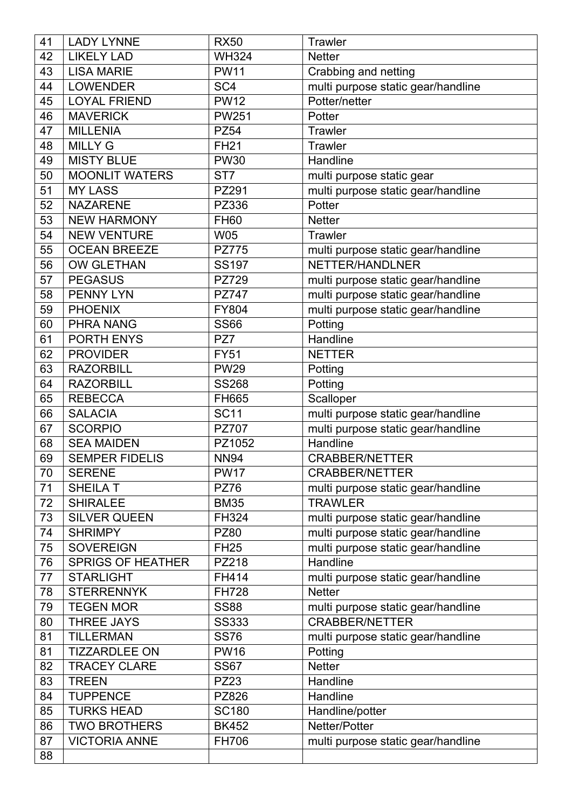| 41 | <b>LADY LYNNE</b>        | <b>RX50</b>     | <b>Trawler</b>                     |
|----|--------------------------|-----------------|------------------------------------|
| 42 | <b>LIKELY LAD</b>        | <b>WH324</b>    | <b>Netter</b>                      |
| 43 | <b>LISA MARIE</b>        | <b>PW11</b>     | Crabbing and netting               |
| 44 | <b>LOWENDER</b>          | SC <sub>4</sub> | multi purpose static gear/handline |
| 45 | <b>LOYAL FRIEND</b>      | <b>PW12</b>     | Potter/netter                      |
| 46 | <b>MAVERICK</b>          | <b>PW251</b>    | Potter                             |
| 47 | <b>MILLENIA</b>          | <b>PZ54</b>     | Trawler                            |
| 48 | <b>MILLY G</b>           | <b>FH21</b>     | <b>Trawler</b>                     |
| 49 | <b>MISTY BLUE</b>        | <b>PW30</b>     | Handline                           |
| 50 | <b>MOONLIT WATERS</b>    | ST <sub>7</sub> | multi purpose static gear          |
| 51 | <b>MY LASS</b>           | PZ291           | multi purpose static gear/handline |
| 52 | <b>NAZARENE</b>          | <b>PZ336</b>    | Potter                             |
| 53 | <b>NEW HARMONY</b>       | <b>FH60</b>     | <b>Netter</b>                      |
| 54 | <b>NEW VENTURE</b>       | <b>W05</b>      | Trawler                            |
| 55 | <b>OCEAN BREEZE</b>      | <b>PZ775</b>    | multi purpose static gear/handline |
| 56 | <b>OW GLETHAN</b>        | <b>SS197</b>    | NETTER/HANDLNER                    |
| 57 | <b>PEGASUS</b>           | <b>PZ729</b>    | multi purpose static gear/handline |
| 58 | <b>PENNY LYN</b>         | <b>PZ747</b>    | multi purpose static gear/handline |
| 59 | <b>PHOENIX</b>           | <b>FY804</b>    | multi purpose static gear/handline |
| 60 | <b>PHRA NANG</b>         | <b>SS66</b>     | Potting                            |
| 61 | <b>PORTH ENYS</b>        | PZ7             | Handline                           |
| 62 | <b>PROVIDER</b>          | <b>FY51</b>     | <b>NETTER</b>                      |
| 63 | <b>RAZORBILL</b>         | <b>PW29</b>     | Potting                            |
| 64 | <b>RAZORBILL</b>         | <b>SS268</b>    | Potting                            |
| 65 | <b>REBECCA</b>           | FH665           | Scalloper                          |
| 66 | <b>SALACIA</b>           | <b>SC11</b>     | multi purpose static gear/handline |
| 67 | <b>SCORPIO</b>           | <b>PZ707</b>    | multi purpose static gear/handline |
| 68 | <b>SEA MAIDEN</b>        | PZ1052          | Handline                           |
| 69 | <b>SEMPER FIDELIS</b>    | <b>NN94</b>     | <b>CRABBER/NETTER</b>              |
| 70 | <b>SERENE</b>            | <b>PW17</b>     | <b>CRABBER/NETTER</b>              |
| 71 | <b>SHEILA T</b>          | <b>PZ76</b>     | multi purpose static gear/handline |
| 72 | <b>SHIRALEE</b>          | <b>BM35</b>     | <b>TRAWLER</b>                     |
| 73 | <b>SILVER QUEEN</b>      | FH324           | multi purpose static gear/handline |
| 74 | <b>SHRIMPY</b>           | <b>PZ80</b>     | multi purpose static gear/handline |
| 75 | <b>SOVEREIGN</b>         | <b>FH25</b>     | multi purpose static gear/handline |
| 76 | <b>SPRIGS OF HEATHER</b> | PZ218           | Handline                           |
| 77 | <b>STARLIGHT</b>         | FH414           | multi purpose static gear/handline |
| 78 | <b>STERRENNYK</b>        | <b>FH728</b>    | <b>Netter</b>                      |
| 79 | <b>TEGEN MOR</b>         | <b>SS88</b>     | multi purpose static gear/handline |
| 80 | <b>THREE JAYS</b>        | <b>SS333</b>    | <b>CRABBER/NETTER</b>              |
| 81 | <b>TILLERMAN</b>         | <b>SS76</b>     | multi purpose static gear/handline |
| 81 | <b>TIZZARDLEE ON</b>     | <b>PW16</b>     | Potting                            |
| 82 | <b>TRACEY CLARE</b>      | <b>SS67</b>     | <b>Netter</b>                      |
| 83 | <b>TREEN</b>             | <b>PZ23</b>     | Handline                           |
| 84 | <b>TUPPENCE</b>          | PZ826           | Handline                           |
| 85 | <b>TURKS HEAD</b>        | <b>SC180</b>    | Handline/potter                    |
| 86 | <b>TWO BROTHERS</b>      | <b>BK452</b>    | Netter/Potter                      |
| 87 | <b>VICTORIA ANNE</b>     | <b>FH706</b>    | multi purpose static gear/handline |
| 88 |                          |                 |                                    |